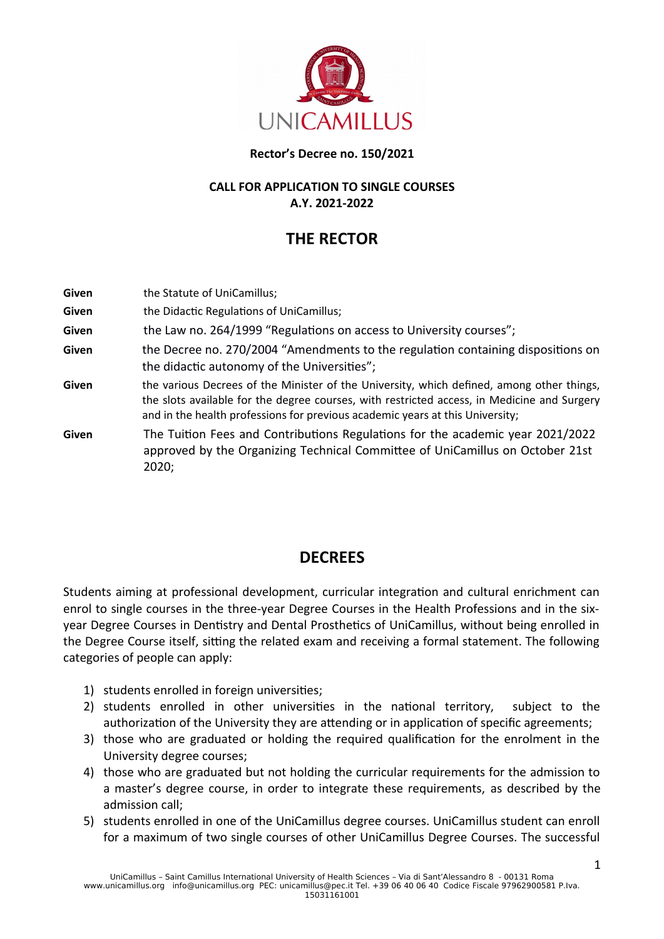

#### **Rector's Decree no. 150/2021**

### **CALL FOR APPLICATION TO SINGLE COURSES A.Y. 2021-2022**

# **THE RECTOR**

| Given | the Statute of UniCamillus;                                                                                                                                                                                                                                               |
|-------|---------------------------------------------------------------------------------------------------------------------------------------------------------------------------------------------------------------------------------------------------------------------------|
| Given | the Didactic Regulations of UniCamillus;                                                                                                                                                                                                                                  |
| Given | the Law no. 264/1999 "Regulations on access to University courses";                                                                                                                                                                                                       |
| Given | the Decree no. 270/2004 "Amendments to the regulation containing dispositions on<br>the didactic autonomy of the Universities";                                                                                                                                           |
| Given | the various Decrees of the Minister of the University, which defined, among other things,<br>the slots available for the degree courses, with restricted access, in Medicine and Surgery<br>and in the health professions for previous academic years at this University; |
| Given | The Tuition Fees and Contributions Regulations for the academic year 2021/2022<br>approved by the Organizing Technical Committee of UniCamillus on October 21st<br>2020;                                                                                                  |

## **DECREES**

Students aiming at professional development, curricular integration and cultural enrichment can enrol to single courses in the three-year Degree Courses in the Health Professions and in the sixyear Degree Courses in Dentistry and Dental Prosthetics of UniCamillus, without being enrolled in the Degree Course itself, sitting the related exam and receiving a formal statement. The following categories of people can apply:

- 1) students enrolled in foreign universities;
- 2) students enrolled in other universities in the national territory, subject to the authorization of the University they are attending or in application of specific agreements;
- 3) those who are graduated or holding the required qualification for the enrolment in the University degree courses;
- 4) those who are graduated but not holding the curricular requirements for the admission to a master's degree course, in order to integrate these requirements, as described by the admission call;
- 5) students enrolled in one of the UniCamillus degree courses. UniCamillus student can enroll for a maximum of two single courses of other UniCamillus Degree Courses. The successful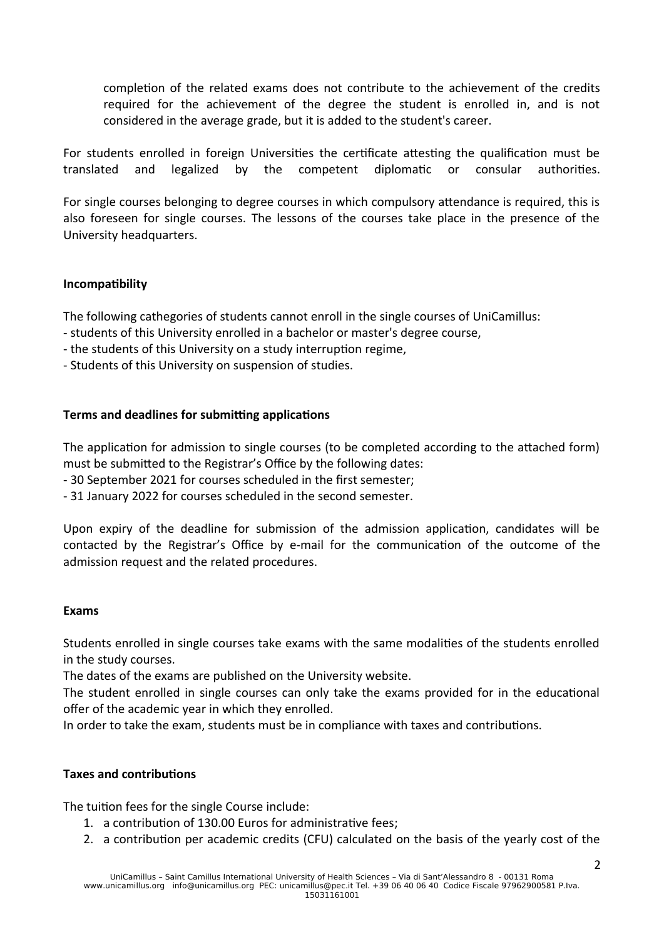completion of the related exams does not contribute to the achievement of the credits required for the achievement of the degree the student is enrolled in, and is not considered in the average grade, but it is added to the student's career.

For students enrolled in foreign Universities the certificate attesting the qualification must be translated and legalized by the competent diplomatic or consular authorities.

For single courses belonging to degree courses in which compulsory attendance is required, this is also foreseen for single courses. The lessons of the courses take place in the presence of the University headquarters.

#### **Incompatibility**

The following cathegories of students cannot enroll in the single courses of UniCamillus:

- students of this University enrolled in a bachelor or master's degree course,
- the students of this University on a study interruption regime,
- Students of this University on suspension of studies.

#### **Terms and deadlines for submitting applications**

The application for admission to single courses (to be completed according to the attached form) must be submitted to the Registrar's Office by the following dates:

- 30 September 2021 for courses scheduled in the first semester;

- 31 January 2022 for courses scheduled in the second semester.

Upon expiry of the deadline for submission of the admission application, candidates will be contacted by the Registrar's Office by e-mail for the communication of the outcome of the admission request and the related procedures.

#### **Exams**

Students enrolled in single courses take exams with the same modalities of the students enrolled in the study courses.

The dates of the exams are published on the University website.

The student enrolled in single courses can only take the exams provided for in the educational offer of the academic year in which they enrolled.

In order to take the exam, students must be in compliance with taxes and contributions.

#### **Taxes and contributions**

The tuition fees for the single Course include:

- 1. a contribution of 130.00 Euros for administrative fees;
- 2. a contribution per academic credits (CFU) calculated on the basis of the yearly cost of the